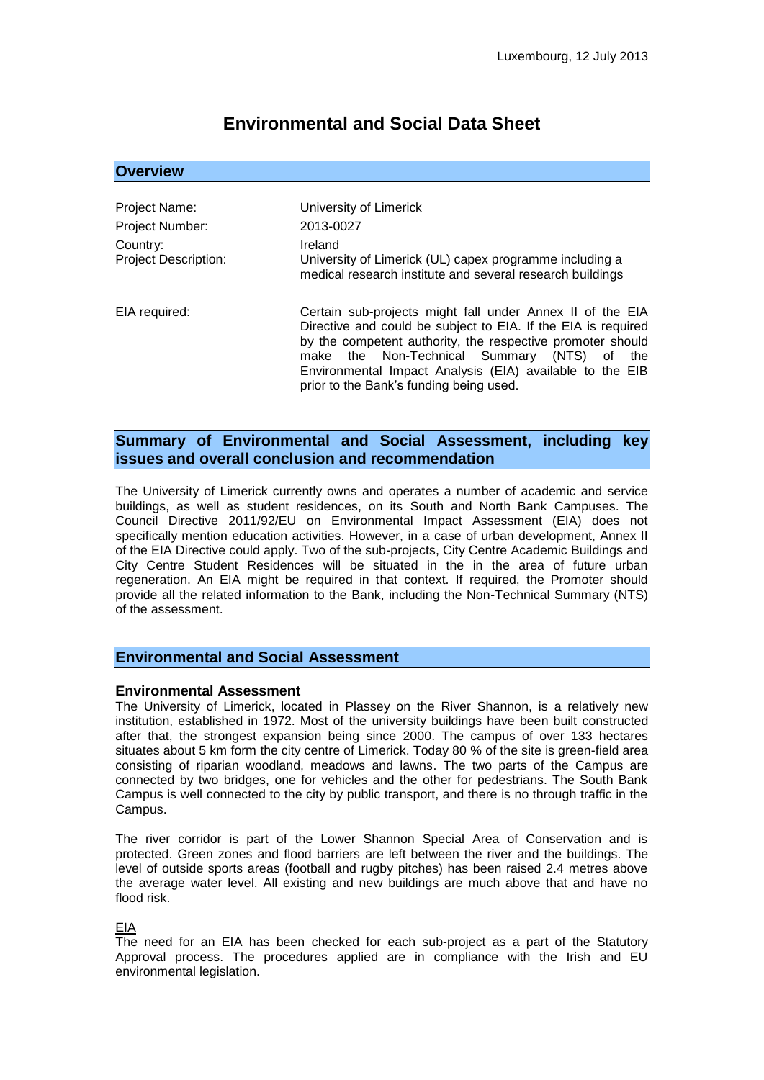# **Environmental and Social Data Sheet**

### **Overview**

| Project Name:                           | University of Limerick                                                                                                                                                                                                                              |
|-----------------------------------------|-----------------------------------------------------------------------------------------------------------------------------------------------------------------------------------------------------------------------------------------------------|
| Project Number:                         | 2013-0027                                                                                                                                                                                                                                           |
| Country:<br><b>Project Description:</b> | Ireland<br>University of Limerick (UL) capex programme including a<br>medical research institute and several research buildings                                                                                                                     |
| EIA required:                           | Certain sub-projects might fall under Annex II of the EIA<br>Directive and could be subject to EIA. If the EIA is required<br>by the competent authority, the respective promoter should<br>the Non-Technical Summary<br>(NTS)<br>make<br>the<br>of |

## **Summary of Environmental and Social Assessment, including key issues and overall conclusion and recommendation**

prior to the Bank's funding being used.

Environmental Impact Analysis (EIA) available to the EIB

The University of Limerick currently owns and operates a number of academic and service buildings, as well as student residences, on its South and North Bank Campuses. The Council Directive 2011/92/EU on Environmental Impact Assessment (EIA) does not specifically mention education activities. However, in a case of urban development, Annex II of the EIA Directive could apply. Two of the sub-projects, City Centre Academic Buildings and City Centre Student Residences will be situated in the in the area of future urban regeneration. An EIA might be required in that context. If required, the Promoter should provide all the related information to the Bank, including the Non-Technical Summary (NTS) of the assessment.

## **Environmental and Social Assessment**

#### **Environmental Assessment**

The University of Limerick, located in Plassey on the River Shannon, is a relatively new institution, established in 1972. Most of the university buildings have been built constructed after that, the strongest expansion being since 2000. The campus of over 133 hectares situates about 5 km form the city centre of Limerick. Today 80 % of the site is green-field area consisting of riparian woodland, meadows and lawns. The two parts of the Campus are connected by two bridges, one for vehicles and the other for pedestrians. The South Bank Campus is well connected to the city by public transport, and there is no through traffic in the Campus.

The river corridor is part of the Lower Shannon Special Area of Conservation and is protected. Green zones and flood barriers are left between the river and the buildings. The level of outside sports areas (football and rugby pitches) has been raised 2.4 metres above the average water level. All existing and new buildings are much above that and have no flood risk.

EIA

The need for an EIA has been checked for each sub-project as a part of the Statutory Approval process. The procedures applied are in compliance with the Irish and EU environmental legislation.